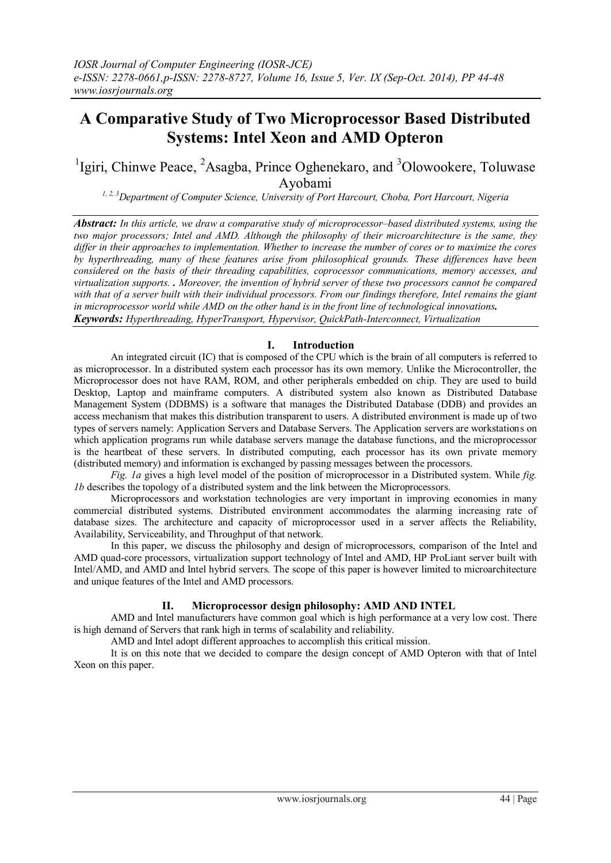# **A Comparative Study of Two Microprocessor Based Distributed Systems: Intel Xeon and AMD Opteron**

## <sup>1</sup>Igiri, Chinwe Peace, <sup>2</sup>Asagba, Prince Oghenekaro, and <sup>3</sup>Olowookere, Toluwase Ayobami

*1, 2, 3Department of Computer Science, University of Port Harcourt, Choba, Port Harcourt, Nigeria*

*Abstract: In this article, we draw a comparative study of microprocessor–based distributed systems, using the two major processors; Intel and AMD. Although the philosophy of their microarchitecture is the same, they differ in their approaches to implementation. Whether to increase the number of cores or to maximize the cores by hyperthreading, many of these features arise from philosophical grounds. These differences have been considered on the basis of their threading capabilities, coprocessor communications, memory accesses, and virtualization supports. . Moreover, the invention of hybrid server of these two processors cannot be compared*  with that of a server built with their individual processors. From our findings therefore, Intel remains the giant *in microprocessor world while AMD on the other hand is in the front line of technological innovations. Keywords: Hyperthreading, HyperTransport, Hypervisor, QuickPath-Interconnect, Virtualization*

## **I. Introduction**

An integrated circuit (IC) that is composed of the CPU which is the brain of all computers is referred to as microprocessor. In a distributed system each processor has its own memory. Unlike the Microcontroller, the Microprocessor does not have RAM, ROM, and other peripherals embedded on chip. They are used to build Desktop, Laptop and mainframe computers. A distributed system also known as Distributed Database Management System (DDBMS) is a software that manages the Distributed Database (DDB) and provides an access mechanism that makes this distribution transparent to users. A distributed environment is made up of two types of servers namely: Application Servers and Database Servers. The Application servers are workstations on which application programs run while database servers manage the database functions, and the microprocessor is the heartbeat of these servers. In distributed computing, each processor has its own private memory (distributed memory) and information is exchanged by passing messages between the processors.

*Fig. 1a* gives a high level model of the position of microprocessor in a Distributed system. While *fig. 1b* describes the topology of a distributed system and the link between the Microprocessors.

Microprocessors and workstation technologies are very important in improving economies in many commercial distributed systems. Distributed environment accommodates the alarming increasing rate of database sizes. The architecture and capacity of microprocessor used in a server affects the Reliability, Availability, Serviceability, and Throughput of that network.

In this paper, we discuss the philosophy and design of microprocessors, comparison of the Intel and AMD quad-core processors, virtualization support technology of Intel and AMD, HP ProLiant server built with Intel/AMD, and AMD and Intel hybrid servers. The scope of this paper is however limited to microarchitecture and unique features of the Intel and AMD processors.

## **II. Microprocessor design philosophy: AMD AND INTEL**

AMD and Intel manufacturers have common goal which is high performance at a very low cost. There is high demand of Servers that rank high in terms of scalability and reliability.

AMD and Intel adopt different approaches to accomplish this critical mission.

It is on this note that we decided to compare the design concept of AMD Opteron with that of Intel Xeon on this paper.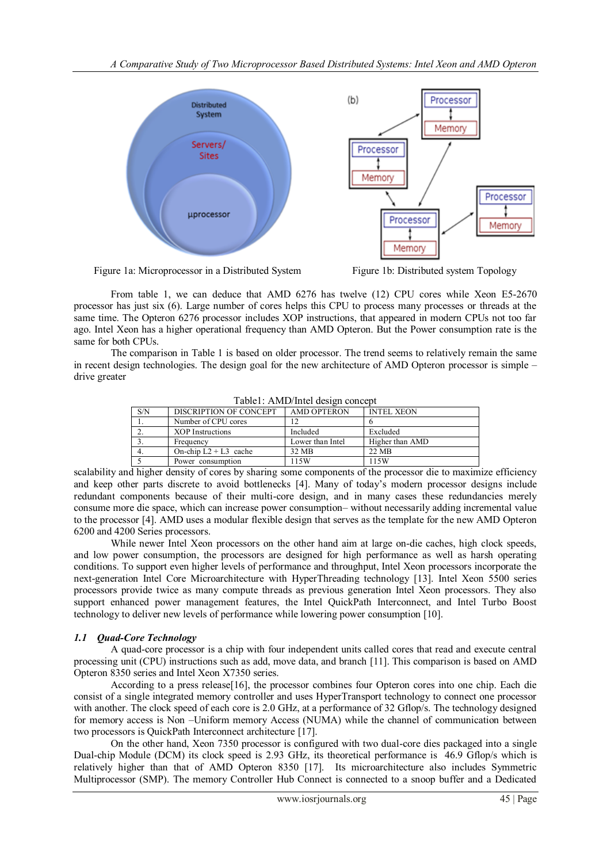

Figure 1a: Microprocessor in a Distributed System Figure 1b: Distributed system Topology

From table 1, we can deduce that AMD 6276 has twelve (12) CPU cores while Xeon E5-2670 processor has just six (6). Large number of cores helps this CPU to process many processes or threads at the same time. The Opteron 6276 processor includes XOP instructions, that appeared in modern CPUs not too far ago. Intel Xeon has a higher operational frequency than AMD Opteron. But the Power consumption rate is the same for both CPUs.

The comparison in Table 1 is based on older processor. The trend seems to relatively remain the same in recent design technologies. The design goal for the new architecture of AMD Opteron processor is simple – drive greater

| rwore: This have wearen convept |                         |                    |                   |  |
|---------------------------------|-------------------------|--------------------|-------------------|--|
| S/N                             | DISCRIPTION OF CONCEPT  | <b>AMD OPTERON</b> | <b>INTEL XEON</b> |  |
|                                 | Number of CPU cores     |                    |                   |  |
|                                 | <b>XOP</b> Instructions | Included           | Excluded          |  |
|                                 | Frequency               | Lower than Intel   | Higher than AMD   |  |
|                                 | On-chip $L2 + L3$ cache | 32 MB              | 22 MB             |  |
|                                 | Power consumption       | 115W               | 115W              |  |
|                                 |                         |                    |                   |  |

Table1: AMD/Intel design concept

scalability and higher density of cores by sharing some components of the processor die to maximize efficiency and keep other parts discrete to avoid bottlenecks [4]. Many of today's modern processor designs include redundant components because of their multi-core design, and in many cases these redundancies merely consume more die space, which can increase power consumption– without necessarily adding incremental value to the processor [4]. AMD uses a modular flexible design that serves as the template for the new AMD Opteron 6200 and 4200 Series processors.

While newer Intel Xeon processors on the other hand aim at large on-die caches, high clock speeds, and low power consumption, the processors are designed for high performance as well as harsh operating conditions. To support even higher levels of performance and throughput, Intel Xeon processors incorporate the next-generation Intel Core Microarchitecture with HyperThreading technology [13]. Intel Xeon 5500 series processors provide twice as many compute threads as previous generation Intel Xeon processors. They also support enhanced power management features, the Intel QuickPath Interconnect, and Intel Turbo Boost technology to deliver new levels of performance while lowering power consumption [10].

## *1.1 Quad-Core Technology*

A quad-core processor is a chip with four independent units called cores that read and execute central processing unit (CPU) instructions such as add, move data, and branch [11]. This comparison is based on AMD Opteron 8350 series and Intel Xeon X7350 series.

According to a press release[16], the processor combines four Opteron cores into one chip. Each die consist of a single integrated memory controller and uses HyperTransport technology to connect one processor with another. The clock speed of each core is 2.0 GHz, at a performance of 32 Gflop/s. The technology designed for memory access is Non –Uniform memory Access (NUMA) while the channel of communication between two processors is QuickPath Interconnect architecture [17].

On the other hand, Xeon 7350 processor is configured with two dual-core dies packaged into a single Dual-chip Module (DCM) its clock speed is 2.93 GHz, its theoretical performance is 46.9 Gflop/s which is relatively higher than that of AMD Opteron 8350 [17]. Its microarchitecture also includes Symmetric Multiprocessor (SMP). The memory Controller Hub Connect is connected to a snoop buffer and a Dedicated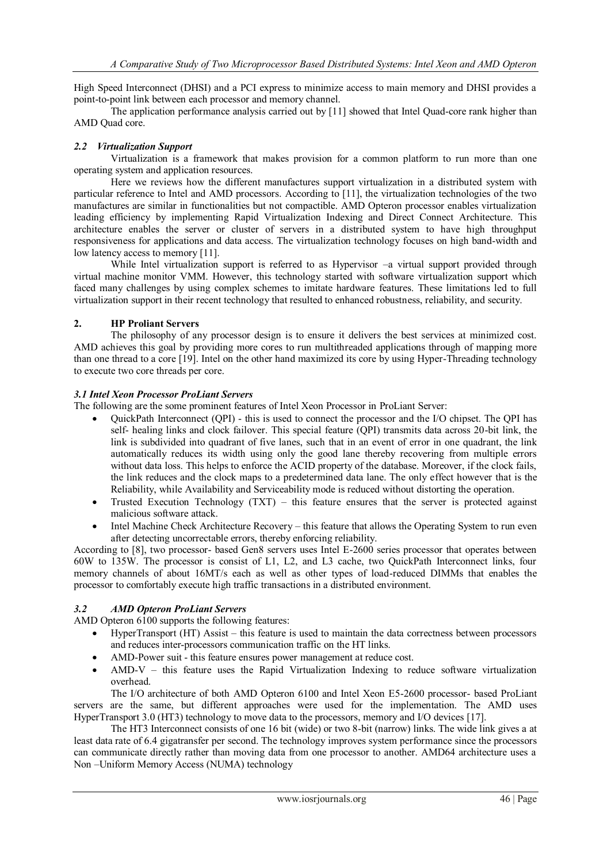High Speed Interconnect (DHSI) and a PCI express to minimize access to main memory and DHSI provides a point-to-point link between each processor and memory channel.

The application performance analysis carried out by [11] showed that Intel Quad-core rank higher than AMD Quad core.

#### *2.2 Virtualization Support*

Virtualization is a framework that makes provision for a common platform to run more than one operating system and application resources.

Here we reviews how the different manufactures support virtualization in a distributed system with particular reference to Intel and AMD processors. According to [11], the virtualization technologies of the two manufactures are similar in functionalities but not compactible. AMD Opteron processor enables virtualization leading efficiency by implementing Rapid Virtualization Indexing and Direct Connect Architecture. This architecture enables the server or cluster of servers in a distributed system to have high throughput responsiveness for applications and data access. The virtualization technology focuses on high band-width and low latency access to memory [11].

While Intel virtualization support is referred to as Hypervisor –a virtual support provided through virtual machine monitor VMM. However, this technology started with software virtualization support which faced many challenges by using complex schemes to imitate hardware features. These limitations led to full virtualization support in their recent technology that resulted to enhanced robustness, reliability, and security.

#### **2. HP Proliant Servers**

The philosophy of any processor design is to ensure it delivers the best services at minimized cost. AMD achieves this goal by providing more cores to run multithreaded applications through of mapping more than one thread to a core [19]. Intel on the other hand maximized its core by using Hyper-Threading technology to execute two core threads per core.

#### *3.1 Intel Xeon Processor ProLiant Servers*

The following are the some prominent features of Intel Xeon Processor in ProLiant Server:

- QuickPath Interconnect (QPI) this is used to connect the processor and the I/O chipset. The QPI has self- healing links and clock failover. This special feature (QPI) transmits data across 20-bit link, the link is subdivided into quadrant of five lanes, such that in an event of error in one quadrant, the link automatically reduces its width using only the good lane thereby recovering from multiple errors without data loss. This helps to enforce the ACID property of the database. Moreover, if the clock fails, the link reduces and the clock maps to a predetermined data lane. The only effect however that is the Reliability, while Availability and Serviceability mode is reduced without distorting the operation.
- Trusted Execution Technology (TXT) this feature ensures that the server is protected against malicious software attack.
- Intel Machine Check Architecture Recovery this feature that allows the Operating System to run even after detecting uncorrectable errors, thereby enforcing reliability.

According to [8], two processor- based Gen8 servers uses Intel E-2600 series processor that operates between 60W to 135W. The processor is consist of L1, L2, and L3 cache, two QuickPath Interconnect links, four memory channels of about 16MT/s each as well as other types of load-reduced DIMMs that enables the processor to comfortably execute high traffic transactions in a distributed environment.

#### *3.2 AMD Opteron ProLiant Servers*

AMD Opteron 6100 supports the following features:

- HyperTransport (HT) Assist this feature is used to maintain the data correctness between processors and reduces inter-processors communication traffic on the HT links.
- AMD-Power suit this feature ensures power management at reduce cost.
- AMD-V this feature uses the Rapid Virtualization Indexing to reduce software virtualization overhead.

The I/O architecture of both AMD Opteron 6100 and Intel Xeon E5-2600 processor- based ProLiant servers are the same, but different approaches were used for the implementation. The AMD uses HyperTransport 3.0 (HT3) technology to move data to the processors, memory and I/O devices [17].

The HT3 Interconnect consists of one 16 bit (wide) or two 8-bit (narrow) links. The wide link gives a at least data rate of 6.4 gigatransfer per second. The technology improves system performance since the processors can communicate directly rather than moving data from one processor to another. AMD64 architecture uses a Non –Uniform Memory Access (NUMA) technology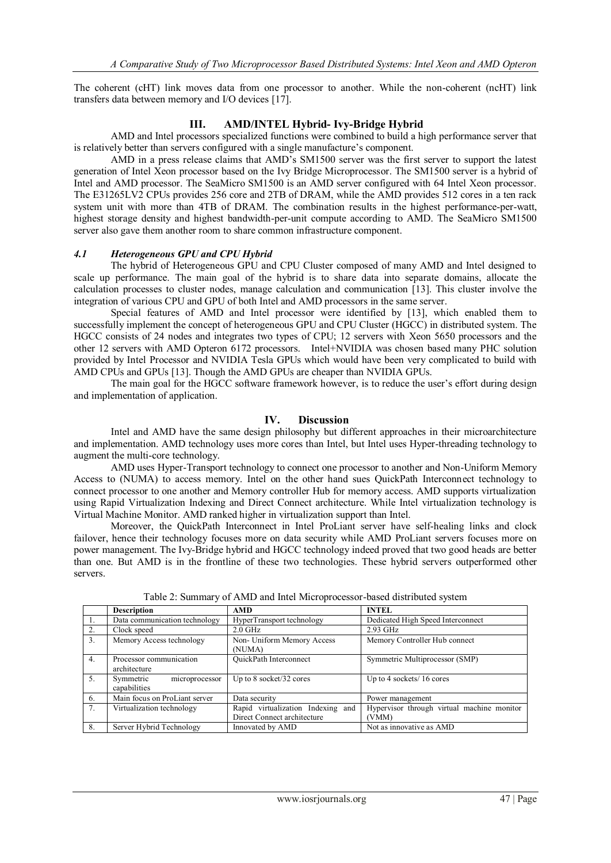The coherent (cHT) link moves data from one processor to another. While the non-coherent (ncHT) link transfers data between memory and I/O devices [17].

## **III. AMD/INTEL Hybrid- Ivy-Bridge Hybrid**

AMD and Intel processors specialized functions were combined to build a high performance server that is relatively better than servers configured with a single manufacture's component.

AMD in a press release claims that AMD's SM1500 server was the first server to support the latest generation of Intel Xeon processor based on the Ivy Bridge Microprocessor. The SM1500 server is a hybrid of Intel and AMD processor. The SeaMicro SM1500 is an AMD server configured with 64 Intel Xeon processor. The E31265LV2 CPUs provides 256 core and 2TB of DRAM, while the AMD provides 512 cores in a ten rack system unit with more than 4TB of DRAM. The combination results in the highest performance-per-watt, highest storage density and highest bandwidth-per-unit compute according to AMD. The SeaMicro SM1500 server also gave them another room to share common infrastructure component.

#### *4.1 Heterogeneous GPU and CPU Hybrid*

The hybrid of Heterogeneous GPU and CPU Cluster composed of many AMD and Intel designed to scale up performance. The main goal of the hybrid is to share data into separate domains, allocate the calculation processes to cluster nodes, manage calculation and communication [13]. This cluster involve the integration of various CPU and GPU of both Intel and AMD processors in the same server.

Special features of AMD and Intel processor were identified by [13], which enabled them to successfully implement the concept of heterogeneous GPU and CPU Cluster (HGCC) in distributed system. The HGCC consists of 24 nodes and integrates two types of CPU; 12 servers with Xeon 5650 processors and the other 12 servers with AMD Opteron 6172 processors. Intel+NVIDIA was chosen based many PHC solution provided by Intel Processor and NVIDIA Tesla GPUs which would have been very complicated to build with AMD CPUs and GPUs [13]. Though the AMD GPUs are cheaper than NVIDIA GPUs.

The main goal for the HGCC software framework however, is to reduce the user's effort during design and implementation of application.

## **IV. Discussion**

Intel and AMD have the same design philosophy but different approaches in their microarchitecture and implementation. AMD technology uses more cores than Intel, but Intel uses Hyper-threading technology to augment the multi-core technology.

AMD uses Hyper-Transport technology to connect one processor to another and Non-Uniform Memory Access to (NUMA) to access memory. Intel on the other hand sues QuickPath Interconnect technology to connect processor to one another and Memory controller Hub for memory access. AMD supports virtualization using Rapid Virtualization Indexing and Direct Connect architecture. While Intel virtualization technology is Virtual Machine Monitor. AMD ranked higher in virtualization support than Intel.

Moreover, the QuickPath Interconnect in Intel ProLiant server have self-healing links and clock failover, hence their technology focuses more on data security while AMD ProLiant servers focuses more on power management. The Ivy-Bridge hybrid and HGCC technology indeed proved that two good heads are better than one. But AMD is in the frontline of these two technologies. These hybrid servers outperformed other servers.

|                  | <b>Description</b>                          | <b>AMD</b>                           | <b>INTEL</b>                               |
|------------------|---------------------------------------------|--------------------------------------|--------------------------------------------|
|                  | Data communication technology               | HyperTransport technology            | Dedicated High Speed Interconnect          |
| 2.               | Clock speed                                 | $2.0$ GHz                            | $2.93$ GHz                                 |
| 3 <sub>1</sub>   | Memory Access technology                    | Non- Uniform Memory Access<br>(NUMA) | Memory Controller Hub connect              |
| $\overline{4}$ . | Processor communication<br>architecture     | <b>OuickPath Interconnect</b>        | Symmetric Multiprocessor (SMP)             |
| 5 <sub>1</sub>   | Symmetric<br>microprocessor<br>capabilities | Up to 8 socket/32 cores              | Up to 4 sockets/16 cores                   |
| 6.               | Main focus on ProLiant server               | Data security                        | Power management                           |
| 7.               | Virtualization technology                   | Rapid virtualization Indexing and    | Hypervisor through virtual machine monitor |
|                  |                                             | Direct Connect architecture          | (VMM)                                      |
| 8.               | Server Hybrid Technology                    | Innovated by AMD                     | Not as innovative as AMD                   |

Table 2: Summary of AMD and Intel Microprocessor-based distributed system